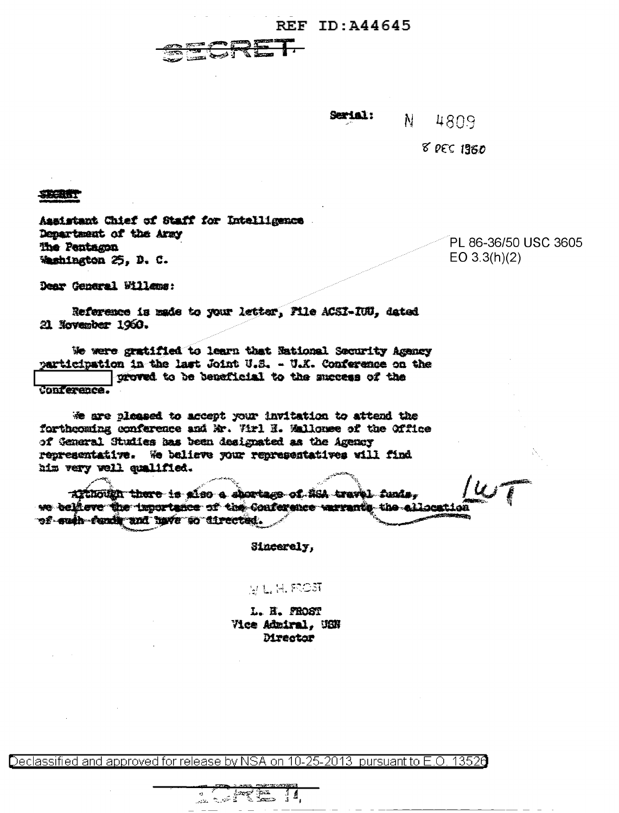## **REF ID: A44645**



Serial:  $\mathbf{N}$ 4809

**8 DEC 1960** 

SECRET

Aasistant Chief of Staff for Intelligence Denartment of the Army The Pentagon Weshington 25. D. C.

PL 86-36/50 USC 3605  $EO 3.3(h)(2)$ 

Dear General Willems:

Reference is made to your letter, File ACSI-IUU, dated 21 November 1960.

We were gratified to learn that National Security Agency participation in the last Joint U.S. - U.X. Conference on the groved to be beneficial to the success of the Conference.

We are pleased to accept your invitation to attend the forthcoming conference and Mr. Wrl H. Mallouse of the Office of General Studies has been designated as the Agency representative. We believe your representatives will find him very well cumlified.

Although there is also a shortage of SSA travel funds, we believe the importance of the Conference varrants the clicentic of such funds and have so directed.

Sincerely,

**MLARCST** 

L. H. PROST Vice Admiral, USN **Mrector** 

Declassified and approved for release by NSA on 10-25-2013 pursuant to E.O. 13526

14232 1